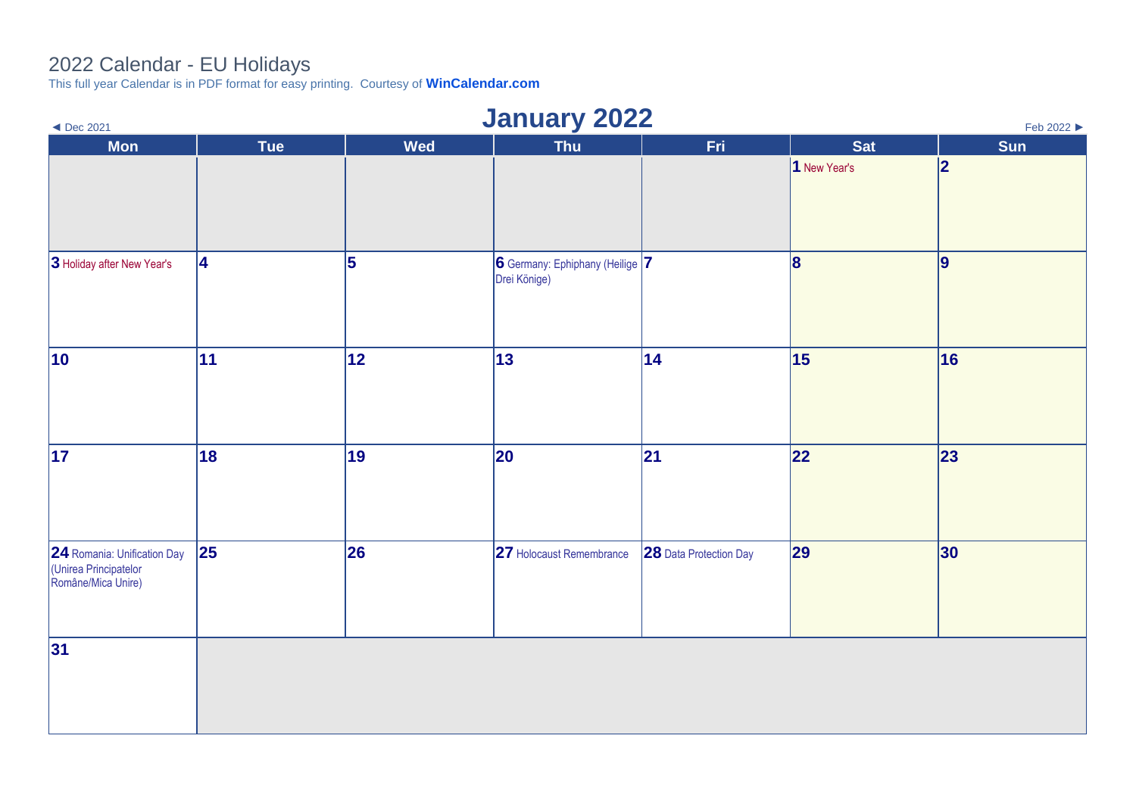## 2022 Calendar - EU Holidays

This full year Calendar is in PDF format for easy printing. Courtesy of **[WinCalendar.com](https://www.wincalendar.com/2022-Calendar-with-EU-Holidays)**

| <b>January 2022</b><br>$\triangleleft$ Dec 2021<br>Feb 2022                |            |            |                                                 |                        |              |     |  |  |
|----------------------------------------------------------------------------|------------|------------|-------------------------------------------------|------------------------|--------------|-----|--|--|
| <b>Mon</b>                                                                 | <b>Tue</b> | <b>Wed</b> | <b>Thu</b>                                      | Fri                    | <b>Sat</b>   | Sun |  |  |
|                                                                            |            |            |                                                 |                        | 1 New Year's | 2   |  |  |
| 3 Holiday after New Year's                                                 | <b>4</b>   | 5          | 6 Germany: Ephiphany (Heilige 7<br>Drei Könige) |                        | 8            | 9   |  |  |
| $ 10\rangle$                                                               | 11         | 12         | $ 13\rangle$                                    | 14                     | 15           | 16  |  |  |
| 17                                                                         | 18         | 19         | 20                                              | 21                     | 22           | 23  |  |  |
| 24 Romania: Unification Day<br>(Unirea Principatelor<br>Române/Mica Unire) | 25         | 26         | 27 Holocaust Remembrance                        | 28 Data Protection Day | 29           | 30  |  |  |
| 31                                                                         |            |            |                                                 |                        |              |     |  |  |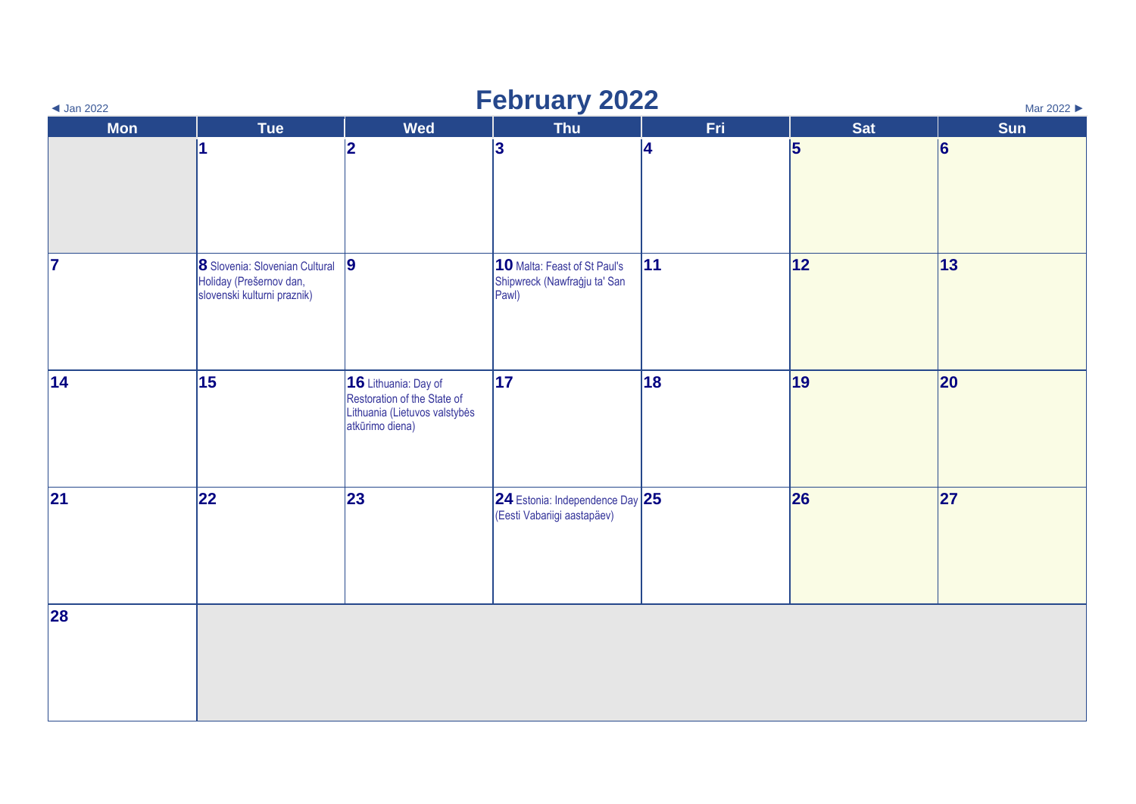| <b>February 2022</b><br>Mar 2022<br>$\triangleleft$ Jan 2022 |                                                                                          |                                                                                                         |                                                                       |            |            |          |  |  |
|--------------------------------------------------------------|------------------------------------------------------------------------------------------|---------------------------------------------------------------------------------------------------------|-----------------------------------------------------------------------|------------|------------|----------|--|--|
| <b>Mon</b>                                                   | Tue                                                                                      | <b>Wed</b>                                                                                              | <b>Thu</b>                                                            | <b>Fri</b> | <b>Sat</b> | Sun      |  |  |
|                                                              | 1                                                                                        | 2                                                                                                       | $\vert$ 3                                                             | 4          | $\vert$ 5  | <b>6</b> |  |  |
| 17                                                           | 8 Slovenia: Slovenian Cultural<br>Holiday (Prešernov dan,<br>slovenski kulturni praznik) | 9                                                                                                       | 10 Malta: Feast of St Paul's<br>Shipwreck (Nawfraġju ta' San<br>Pawl) | 11         | 12         | 13       |  |  |
| 14                                                           | 15                                                                                       | 16 Lithuania: Day of<br>Restoration of the State of<br>Lithuania (Lietuvos valstybės<br>atkūrimo diena) | 17                                                                    | 18         | 19         | 20       |  |  |
| 21                                                           | 22                                                                                       | 23                                                                                                      | $ 24$ Estonia: Independence Day $ 25 $<br>(Eesti Vabariigi aastapäev) |            | 26         | 27       |  |  |
| 28                                                           |                                                                                          |                                                                                                         |                                                                       |            |            |          |  |  |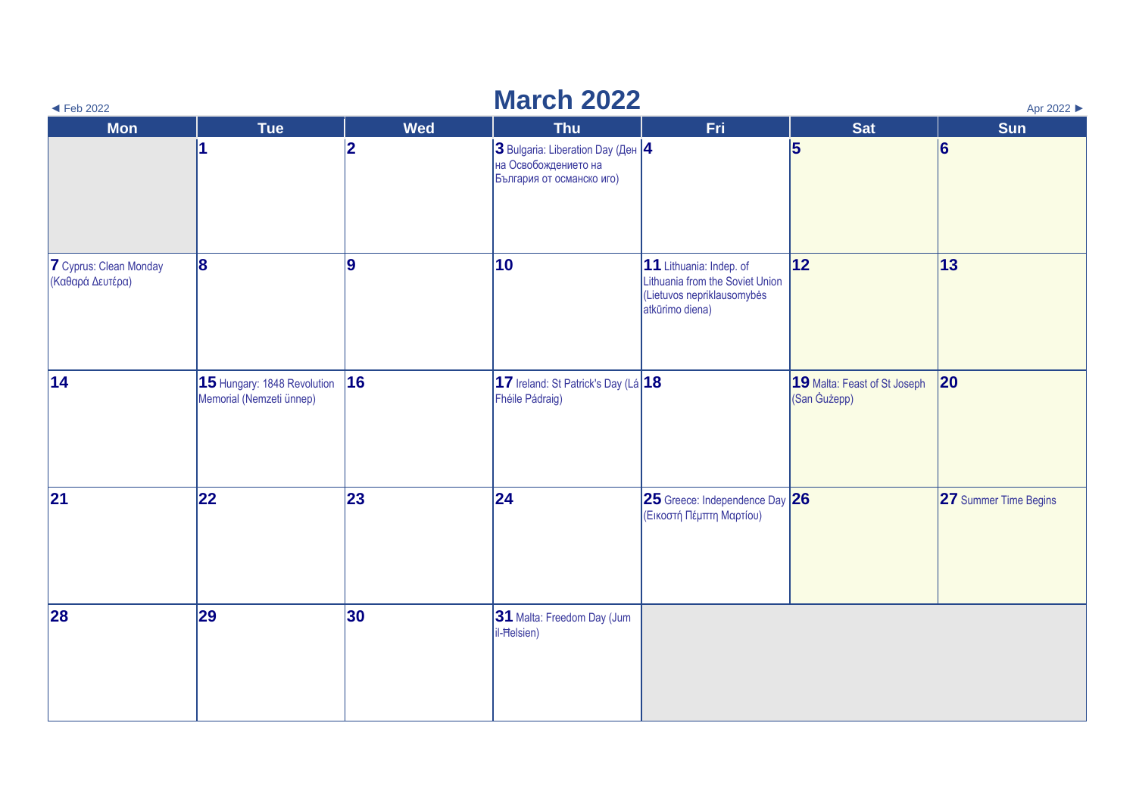| $\blacktriangleleft$ Feb 2022              | <b>March 2022</b><br>Apr 2022                           |                |                                                                                        |                                                                                                             |                                              |                       |  |  |  |  |
|--------------------------------------------|---------------------------------------------------------|----------------|----------------------------------------------------------------------------------------|-------------------------------------------------------------------------------------------------------------|----------------------------------------------|-----------------------|--|--|--|--|
| <b>Mon</b>                                 | <b>Tue</b>                                              | <b>Wed</b>     | <b>Thu</b>                                                                             | Fri                                                                                                         | <b>Sat</b>                                   | <b>Sun</b>            |  |  |  |  |
|                                            |                                                         | $\overline{2}$ | 3 Bulgaria: Liberation Day (Ден 4<br>на Освобождението на<br>България от османско иго) |                                                                                                             | 5                                            | 6                     |  |  |  |  |
| 7 Cyprus: Clean Monday<br>(Καθαρά Δευτέρα) | 8                                                       | g              | 10                                                                                     | 11 Lithuania: Indep. of<br>Lithuania from the Soviet Union<br>(Lietuvos nepriklausomybės<br>atkūrimo diena) | 12                                           | 13                    |  |  |  |  |
| 14                                         | 15 Hungary: 1848 Revolution<br>Memorial (Nemzeti ünnep) | 16             | 17 Ireland: St Patrick's Day (Lá $ 18 $<br>Fhéile Pádraig)                             |                                                                                                             | 19 Malta: Feast of St Joseph<br>(San Gużepp) | $ 20\rangle$          |  |  |  |  |
| 21                                         | 22                                                      | 23             | 24                                                                                     | 25 Greece: Independence Day 26<br>(Εικοστή Πέμπτη Μαρτίου)                                                  |                                              | 27 Summer Time Begins |  |  |  |  |
| 28                                         | 29                                                      | 30             | 31 Malta: Freedom Day (Jum<br>il-Helsien)                                              |                                                                                                             |                                              |                       |  |  |  |  |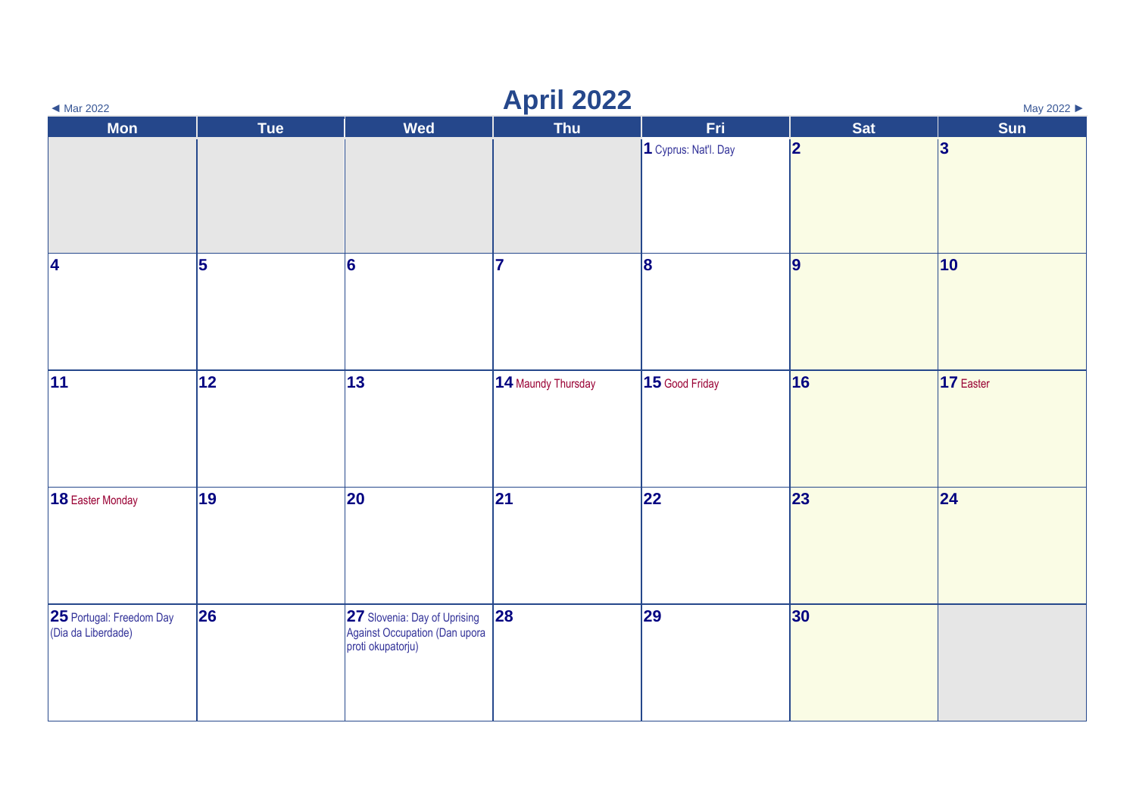| <b>April 2022</b><br>May 2022<br>$\blacktriangleleft$ Mar 2022 |     |                                                                                    |                    |                      |                 |              |  |  |
|----------------------------------------------------------------|-----|------------------------------------------------------------------------------------|--------------------|----------------------|-----------------|--------------|--|--|
| <b>Mon</b>                                                     | Tue | <b>Wed</b>                                                                         | Thu                | <b>Fri</b>           | <b>Sat</b>      | Sun          |  |  |
|                                                                |     |                                                                                    |                    | 1 Cyprus: Nat'l. Day | 2               | 3            |  |  |
| 4                                                              | 5   | 6                                                                                  | 17                 | 8                    | 9               | $ 10\rangle$ |  |  |
| 11                                                             | 12  | 13                                                                                 | 14 Maundy Thursday | 15 Good Friday       | 16              | 17 Easter    |  |  |
| 18 Easter Monday                                               | 19  | 20                                                                                 | 21                 | 22                   | 23              | 24           |  |  |
| 25 Portugal: Freedom Day<br>(Dia da Liberdade)                 | 26  | 27 Slovenia: Day of Uprising<br>Against Occupation (Dan upora<br>proti okupatorju) | 28                 | 29                   | 30 <sub>o</sub> |              |  |  |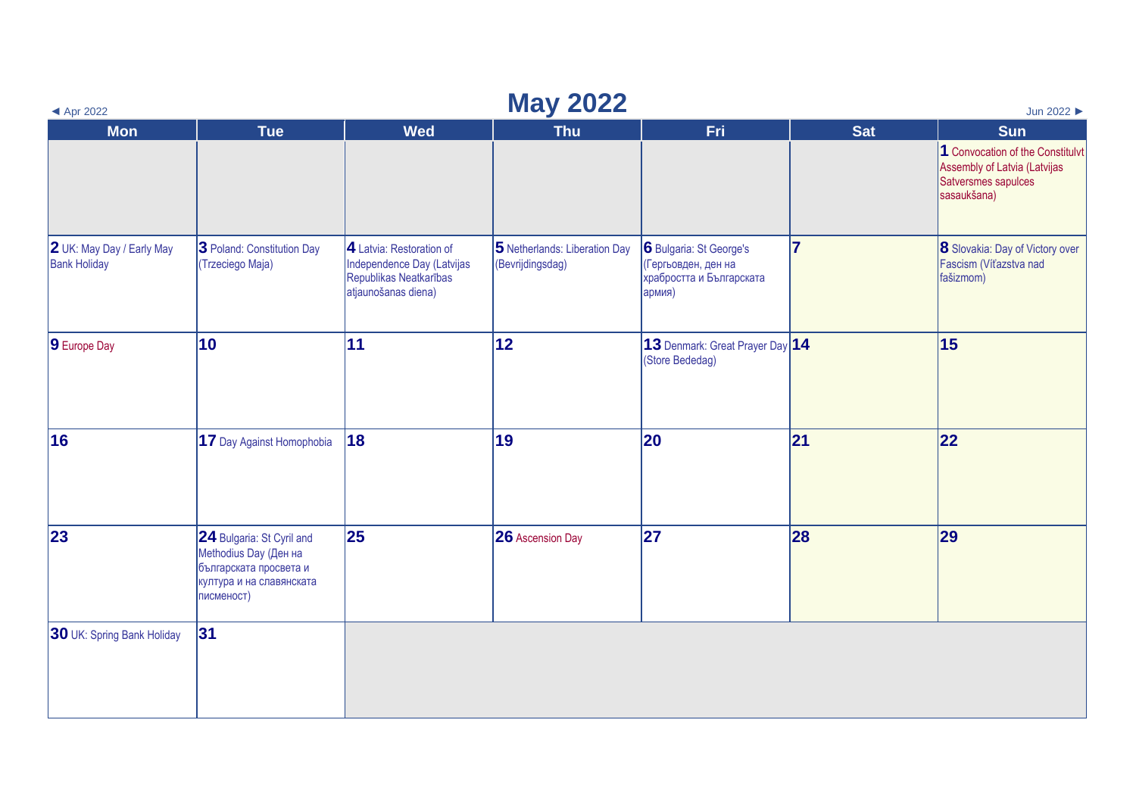| $\blacktriangleleft$ Apr 2022                    | <b>May 2022</b><br>Jun 2022                                                                                            |                                                                                                         |                                                   |                                                                                      |            |                                                                                                        |  |  |  |
|--------------------------------------------------|------------------------------------------------------------------------------------------------------------------------|---------------------------------------------------------------------------------------------------------|---------------------------------------------------|--------------------------------------------------------------------------------------|------------|--------------------------------------------------------------------------------------------------------|--|--|--|
| <b>Mon</b>                                       | <b>Tue</b>                                                                                                             | <b>Wed</b>                                                                                              | <b>Thu</b>                                        | <b>Fri</b>                                                                           | <b>Sat</b> | <b>Sun</b>                                                                                             |  |  |  |
|                                                  |                                                                                                                        |                                                                                                         |                                                   |                                                                                      |            | 1 Convocation of the Constitulvt<br>Assembly of Latvia (Latvijas<br>Satversmes sapulces<br>sasaukšana) |  |  |  |
| 2 UK: May Day / Early May<br><b>Bank Holiday</b> | 3 Poland: Constitution Day<br>(Trzeciego Maja)                                                                         | 4 Latvia: Restoration of<br>Independence Day (Latvijas<br>Republikas Neatkarības<br>atjaunošanas diena) | 5 Netherlands: Liberation Day<br>(Bevrijdingsdag) | 6 Bulgaria: St George's<br>(Гергьовден, ден на<br>храбростта и Българската<br>армия) | 17         | <b>8</b> Slovakia: Day of Victory over<br>Fascism (Víťazstva nad<br>fašizmom)                          |  |  |  |
| 9 Europe Day                                     | 10                                                                                                                     | 11                                                                                                      | 12                                                | 13 Denmark: Great Prayer Day 14<br>(Store Bededag)                                   |            | 15                                                                                                     |  |  |  |
| 16                                               | 17 Day Against Homophobia                                                                                              | 18                                                                                                      | 19                                                | 20                                                                                   | 21         | 22                                                                                                     |  |  |  |
| 23                                               | 24 Bulgaria: St Cyril and<br>Methodius Day (Ден на<br>българската просвета и<br>култура и на славянската<br>писменост) | 25                                                                                                      | <b>26</b> Ascension Day                           | 27                                                                                   | 28         | 29                                                                                                     |  |  |  |
| <b>30</b> UK: Spring Bank Holiday                | 31                                                                                                                     |                                                                                                         |                                                   |                                                                                      |            |                                                                                                        |  |  |  |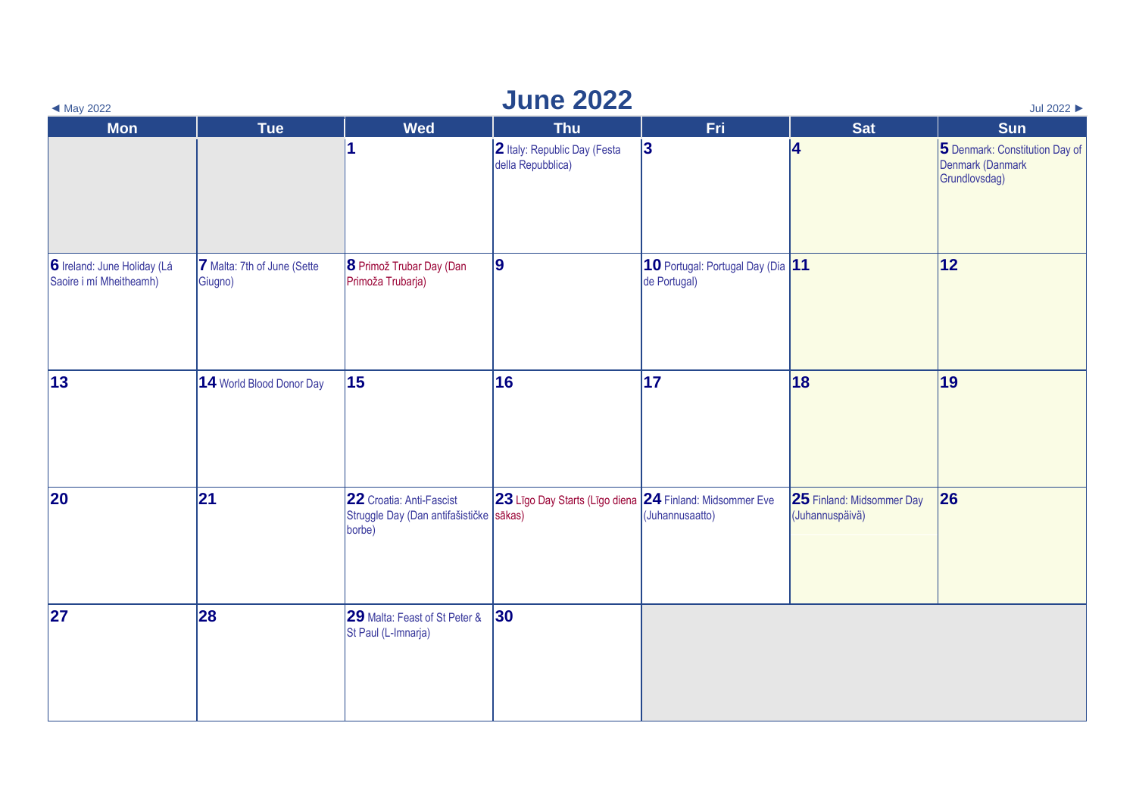| <b>June 2022</b><br>$\blacktriangleleft$ May 2022<br>Jul 2022 |                                        |                                                                               |                                                          |                                                   |                                              |                                                                     |  |  |  |
|---------------------------------------------------------------|----------------------------------------|-------------------------------------------------------------------------------|----------------------------------------------------------|---------------------------------------------------|----------------------------------------------|---------------------------------------------------------------------|--|--|--|
| <b>Mon</b>                                                    | <b>Tue</b>                             | <b>Wed</b>                                                                    | <b>Thu</b>                                               | Fri                                               | <b>Sat</b>                                   | <b>Sun</b>                                                          |  |  |  |
|                                                               |                                        | $\overline{\mathbf{1}}$                                                       | 2 Italy: Republic Day (Festa<br>della Repubblica)        | 3                                                 | 4                                            | 5 Denmark: Constitution Day of<br>Denmark (Danmark<br>Grundlovsdag) |  |  |  |
| 6 Ireland: June Holiday (Lá<br>Saoire i mí Mheitheamh)        | 7 Malta: 7th of June (Sette<br>Giugno) | 8 Primož Trubar Day (Dan<br>Primoža Trubarja)                                 | 9                                                        | 10 Portugal: Portugal Day (Dia 11<br>de Portugal) |                                              | 12                                                                  |  |  |  |
| $\vert$ 13                                                    | 14 World Blood Donor Day               | 15                                                                            | 16                                                       | $\overline{17}$                                   | 18                                           | 19                                                                  |  |  |  |
| 20                                                            | 21                                     | 22 Croatia: Anti-Fascist<br>Struggle Day (Dan antifašističke sākas)<br>borbe) | 23 Līgo Day Starts (Līgo diena 24 Finland: Midsommer Eve | (Juhannusaatto)                                   | 25 Finland: Midsommer Day<br>(Juhannuspäivä) | 26                                                                  |  |  |  |
| 27                                                            | 28                                     | 29 Malta: Feast of St Peter &<br>St Paul (L-Imnarja)                          | 30                                                       |                                                   |                                              |                                                                     |  |  |  |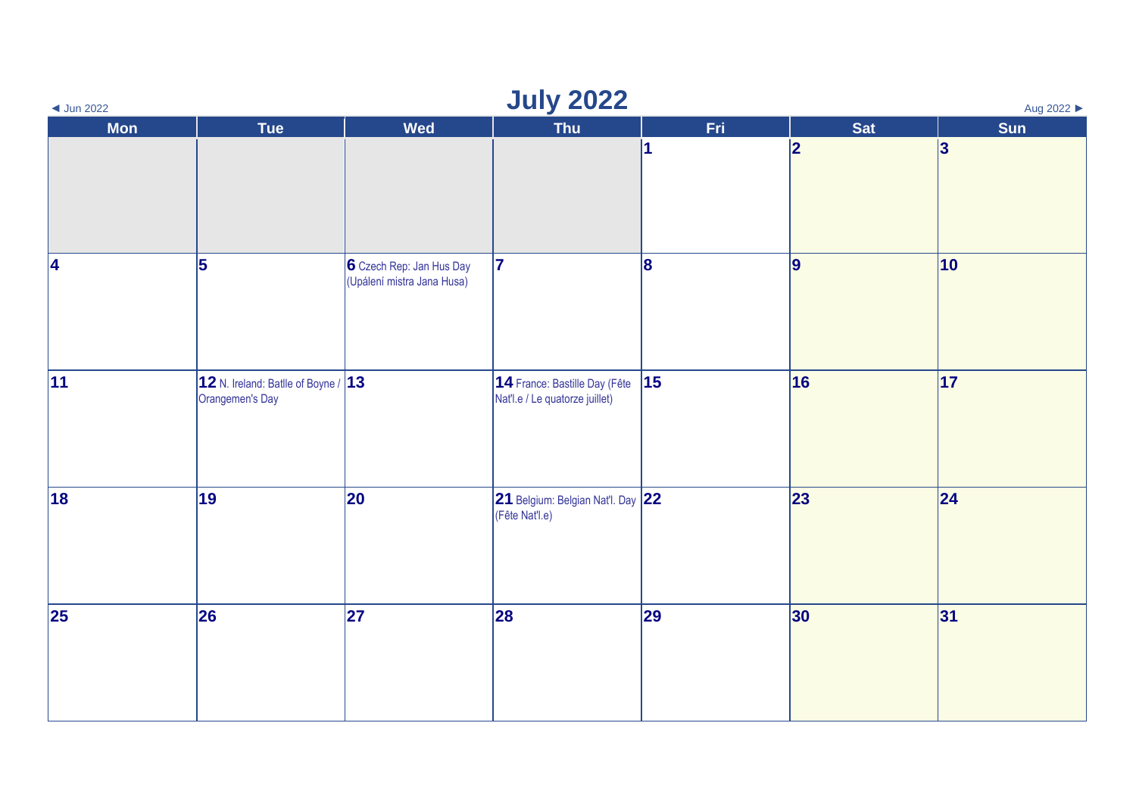| <b>July 2022</b><br>Aug 2022 ▶<br>$\triangleleft$ Jun 2022 |                                                            |                                                        |                                                                 |                         |                 |              |  |  |
|------------------------------------------------------------|------------------------------------------------------------|--------------------------------------------------------|-----------------------------------------------------------------|-------------------------|-----------------|--------------|--|--|
| <b>Mon</b>                                                 | Tue                                                        | <b>Wed</b>                                             | Thu                                                             | Fri.                    | <b>Sat</b>      | Sun          |  |  |
|                                                            |                                                            |                                                        |                                                                 | $\overline{\mathbf{1}}$ | 2               | 3            |  |  |
| 4                                                          | 5                                                          | 6 Czech Rep: Jan Hus Day<br>(Upálení mistra Jana Husa) | 17                                                              | 8                       | 9               | $ 10\rangle$ |  |  |
| 11                                                         | 12 N. Ireland: Batlle of Boyne / $ 13 $<br>Orangemen's Day |                                                        | 14 France: Bastille Day (Fête<br>Nat'l.e / Le quatorze juillet) | $\vert$ 15              | 16              | 17           |  |  |
| 18                                                         | 19                                                         | 20                                                     | 21 Belgium: Belgian Nat'l. Day 22<br>(Fête Nat'l.e)             |                         | 23              | 24           |  |  |
| $\vert$ 25                                                 | 26                                                         | 27                                                     | 28                                                              | 29                      | 30 <sub>o</sub> | 31           |  |  |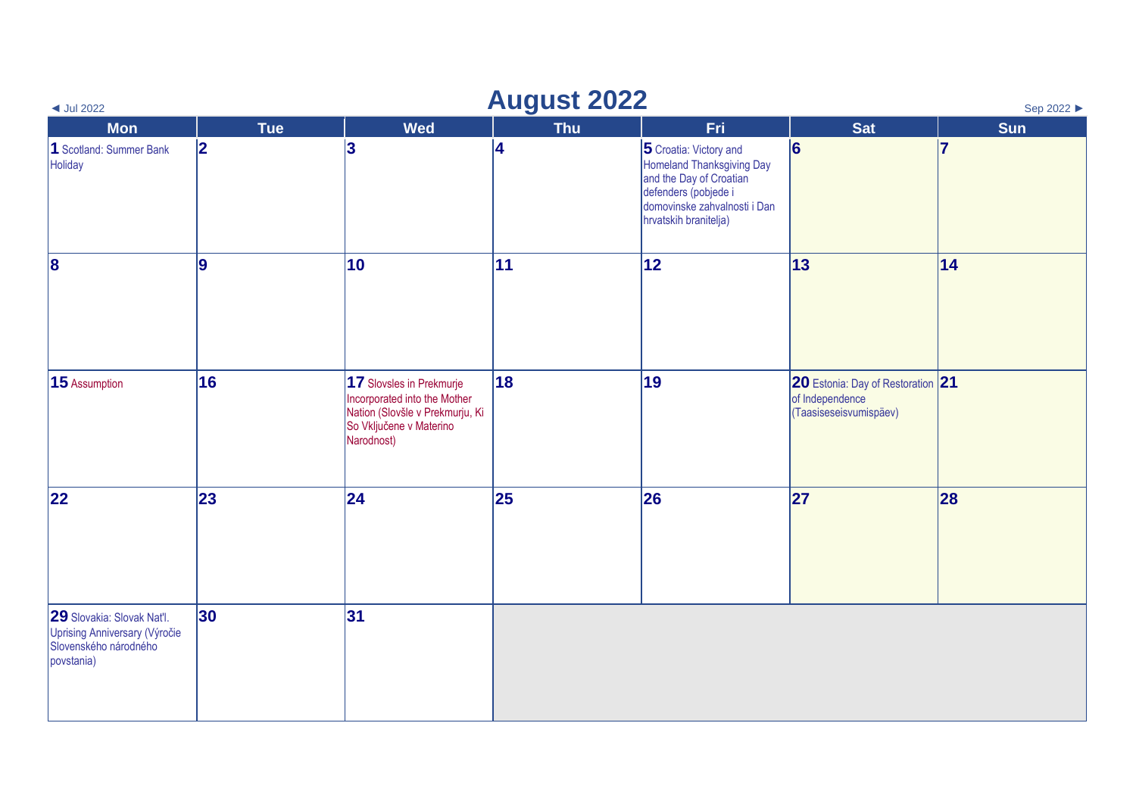| $\triangleleft$ Jul 2022                                                                           | <b>August 2022</b><br>Sep 2022 ▶ |                                                                                                                                      |              |                                                                                                                                                                 |                                                                                |     |  |  |  |
|----------------------------------------------------------------------------------------------------|----------------------------------|--------------------------------------------------------------------------------------------------------------------------------------|--------------|-----------------------------------------------------------------------------------------------------------------------------------------------------------------|--------------------------------------------------------------------------------|-----|--|--|--|
| <b>Mon</b>                                                                                         | <b>Tue</b>                       | <b>Wed</b>                                                                                                                           | <b>Thu</b>   | Fri                                                                                                                                                             | <b>Sat</b>                                                                     | Sun |  |  |  |
| 1 Scotland: Summer Bank<br>Holiday                                                                 | 2                                | 3                                                                                                                                    | 4            | 5 Croatia: Victory and<br>Homeland Thanksgiving Day<br>and the Day of Croatian<br>defenders (pobjede i<br>domovinske zahvalnosti i Dan<br>hrvatskih branitelja) | $\vert 6 \vert$                                                                | 17  |  |  |  |
| 8                                                                                                  | 9                                | 10                                                                                                                                   | $ 11\rangle$ | 12                                                                                                                                                              | 13                                                                             | 14  |  |  |  |
| 15 Assumption                                                                                      | 16                               | 17 Slovsles in Prekmurje<br>Incorporated into the Mother<br>Nation (Slovšle v Prekmurju, Ki<br>So Vključene v Materino<br>Narodnost) | 18           | 19                                                                                                                                                              | 20 Estonia: Day of Restoration 21<br>of Independence<br>(Taasiseseisvumispäev) |     |  |  |  |
| 22                                                                                                 | 23                               | 24                                                                                                                                   | 25           | 26                                                                                                                                                              | 27                                                                             | 28  |  |  |  |
| 29 Slovakia: Slovak Nat'l.<br>Uprising Anniversary (Výročie<br>Slovenského národného<br>povstania) | 30                               | 31                                                                                                                                   |              |                                                                                                                                                                 |                                                                                |     |  |  |  |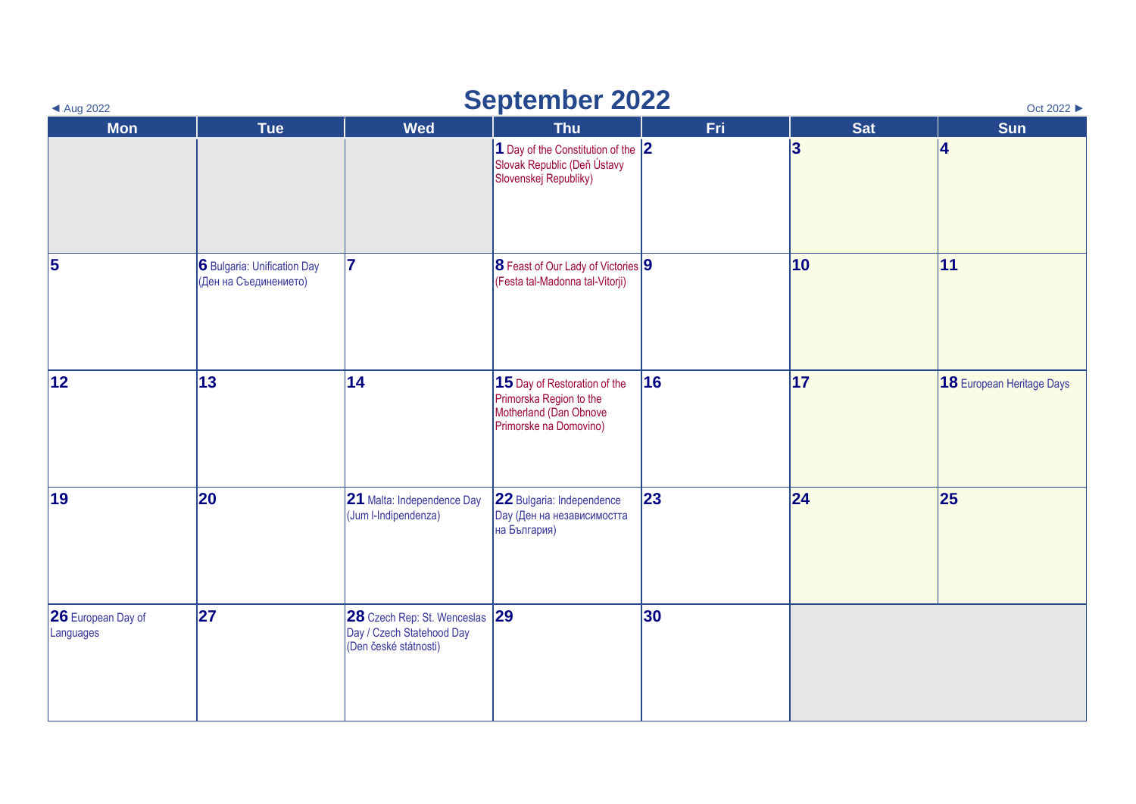| <b>September 2022</b><br>Oct 2022 ▶<br>$\triangleleft$ Aug 2022 |                                                      |                                                                                      |                                                                                                             |     |            |                           |  |  |  |
|-----------------------------------------------------------------|------------------------------------------------------|--------------------------------------------------------------------------------------|-------------------------------------------------------------------------------------------------------------|-----|------------|---------------------------|--|--|--|
| <b>Mon</b>                                                      | <b>Tue</b>                                           | <b>Wed</b>                                                                           | <b>Thu</b>                                                                                                  | Fri | <b>Sat</b> | Sun                       |  |  |  |
|                                                                 |                                                      |                                                                                      | 1 Day of the Constitution of the $ 2 $<br>Slovak Republic (Deň Ústavy<br>Slovenskej Republiky)              |     | 3          | 14                        |  |  |  |
| $\overline{\mathbf{5}}$                                         | 6 Bulgaria: Unification Day<br>(Ден на Съединението) | 17                                                                                   | 8 Feast of Our Lady of Victories 9<br>(Festa tal-Madonna tal-Vitorji)                                       |     | 10         | 11                        |  |  |  |
| 12                                                              | 13                                                   | 14                                                                                   | 15 Day of Restoration of the<br>Primorska Region to the<br>Motherland (Dan Obnove<br>Primorske na Domovino) | 16  | 17         | 18 European Heritage Days |  |  |  |
| 19                                                              | 20                                                   | 21 Malta: Independence Day<br>(Jum I-Indipendenza)                                   | 22 Bulgaria: Independence<br><b>Day (Ден на независимостта</b><br>на България)                              | 23  | 24         | 25                        |  |  |  |
| 26 European Day of<br>Languages                                 | 27                                                   | 28 Czech Rep: St. Wenceslas 29<br>Day / Czech Statehood Day<br>(Den české státnosti) |                                                                                                             | 30  |            |                           |  |  |  |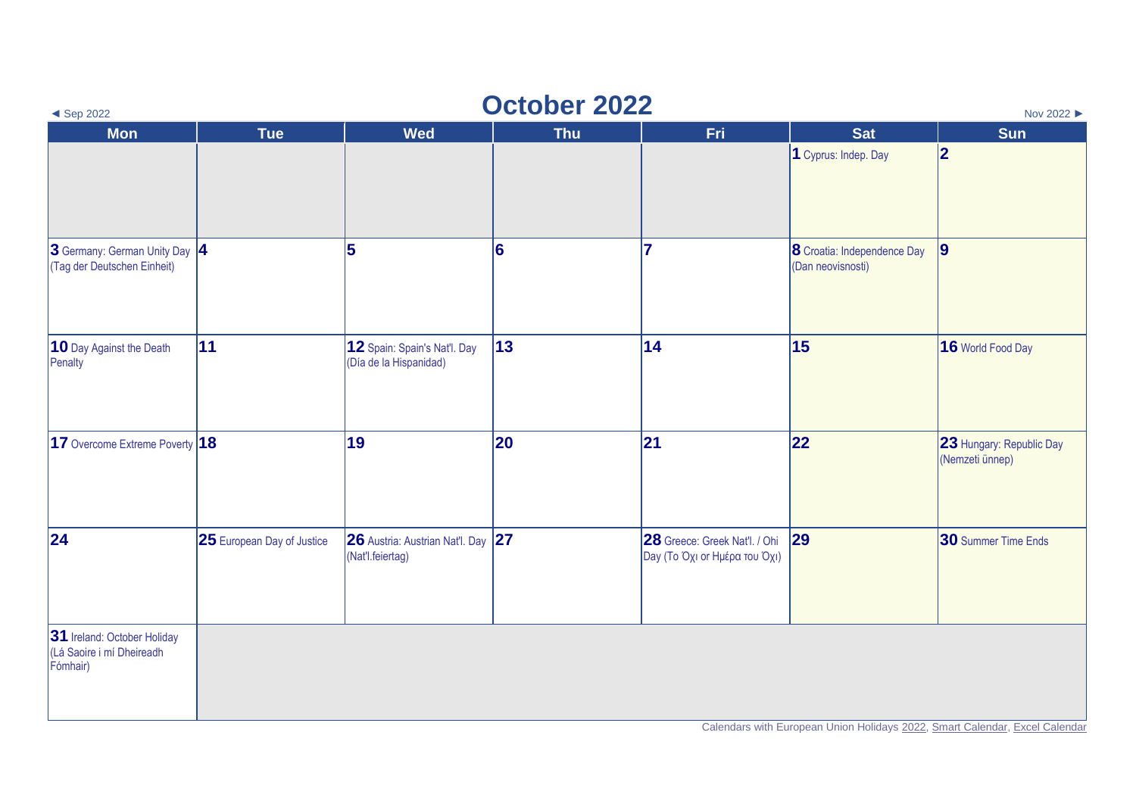| <b>October 2022</b><br>Nov 2022 ▶<br>$\triangleleft$ Sep 2022        |                            |                                                        |            |                                                                |                                                  |                                                                             |  |
|----------------------------------------------------------------------|----------------------------|--------------------------------------------------------|------------|----------------------------------------------------------------|--------------------------------------------------|-----------------------------------------------------------------------------|--|
| <b>Mon</b>                                                           | <b>Tue</b>                 | <b>Wed</b>                                             | <b>Thu</b> | Fri                                                            | <b>Sat</b>                                       | <b>Sun</b>                                                                  |  |
|                                                                      |                            |                                                        |            |                                                                | 1 Cyprus: Indep. Day                             | 2                                                                           |  |
| 3 Germany: German Unity Day  4<br>(Tag der Deutschen Einheit)        |                            | 5                                                      | 6          | 7                                                              | 8 Croatia: Independence Day<br>(Dan neovisnosti) | 9                                                                           |  |
| 10 Day Against the Death<br>Penalty                                  | 11                         | 12 Spain: Spain's Nat'l. Day<br>(Día de la Hispanidad) | 13         | 14                                                             | 15                                               | 16 World Food Day                                                           |  |
| 17 Overcome Extreme Poverty $ 18 $                                   |                            | 19                                                     | 20         | 21                                                             | 22                                               | 23 Hungary: Republic Day<br>(Nemzeti ünnep)                                 |  |
| 24                                                                   | 25 European Day of Justice | 26 Austria: Austrian Nat'l. Day 27<br>(Nat'l.feiertag) |            | 28 Greece: Greek Nat'l. / Ohi<br>Day (Το Όχι or Ημέρα του Όχι) | 29                                               | 30 Summer Time Ends                                                         |  |
| 31 Ireland: October Holiday<br>(Lá Saoire i mí Dheireadh<br>Fómhair) |                            |                                                        |            |                                                                |                                                  | Calendars with European Union Holidays 2022, Smart Calendar, Excel Calendar |  |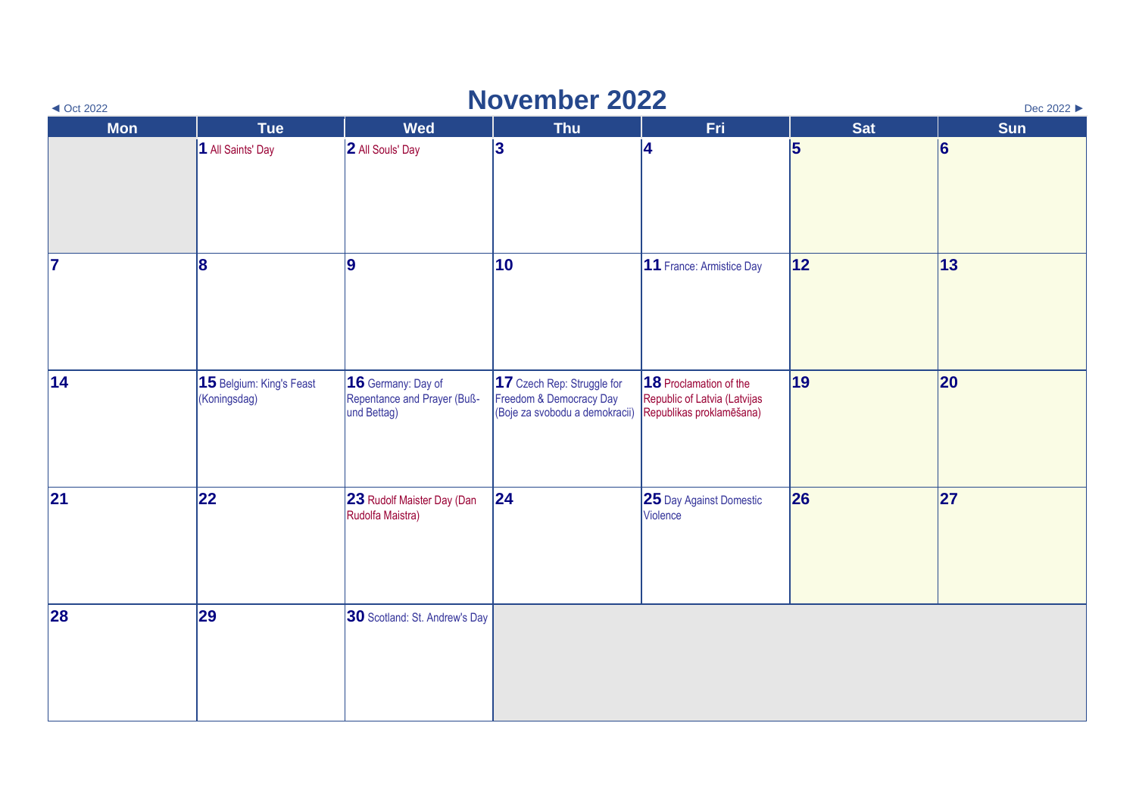| <b>November 2022</b><br>Dec 2022 ▶<br>$\triangleleft$ Oct 2022 |                                          |                                                                  |                                                                                         |                                                                                    |            |                 |  |  |
|----------------------------------------------------------------|------------------------------------------|------------------------------------------------------------------|-----------------------------------------------------------------------------------------|------------------------------------------------------------------------------------|------------|-----------------|--|--|
| <b>Mon</b>                                                     | <b>Tue</b>                               | <b>Wed</b>                                                       | <b>Thu</b>                                                                              | Fri                                                                                | <b>Sat</b> | <b>Sun</b>      |  |  |
|                                                                | 1 All Saints' Day                        | 2 All Souls' Day                                                 | 3                                                                                       | 14                                                                                 | 5          | $\vert 6 \vert$ |  |  |
| 17                                                             | 8                                        | 9                                                                | 10                                                                                      | 11 France: Armistice Day                                                           | 12         | $ 13\rangle$    |  |  |
| 14                                                             | 15 Belgium: King's Feast<br>(Koningsdag) | 16 Germany: Day of<br>Repentance and Prayer (Buß-<br>und Bettag) | 17 Czech Rep: Struggle for<br>Freedom & Democracy Day<br>(Boje za svobodu a demokracii) | 18 Proclamation of the<br>Republic of Latvia (Latvijas<br>Republikas proklamēšana) | 19         | 20              |  |  |
| 21                                                             | 22                                       | 23 Rudolf Maister Day (Dan<br>Rudolfa Maistra)                   | 24                                                                                      | 25 Day Against Domestic<br>Violence                                                | 26         | 27              |  |  |
| 28                                                             | 29                                       | 30 Scotland: St. Andrew's Day                                    |                                                                                         |                                                                                    |            |                 |  |  |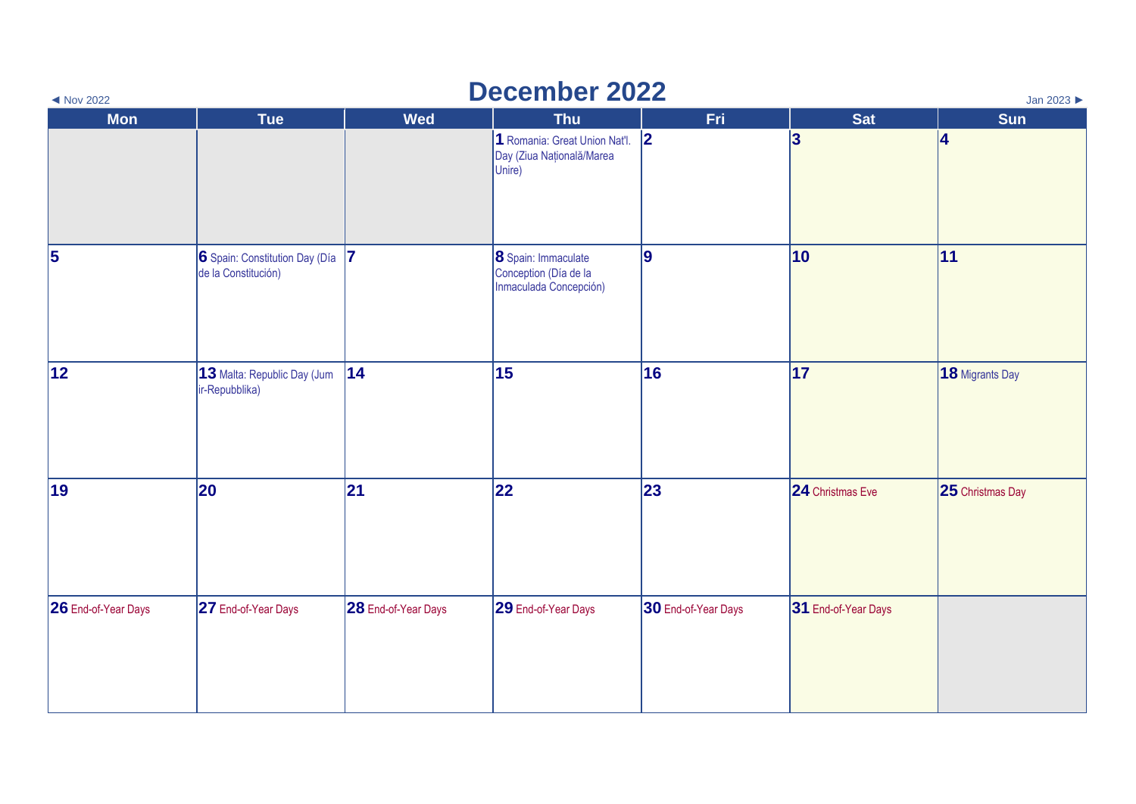| <b>December 2022</b><br>Jan 2023<br>$\blacktriangleleft$ Nov 2022 |                                                       |                     |                                                                        |                     |                     |                         |  |  |
|-------------------------------------------------------------------|-------------------------------------------------------|---------------------|------------------------------------------------------------------------|---------------------|---------------------|-------------------------|--|--|
| <b>Mon</b>                                                        | <b>Tue</b>                                            | Wed                 | <b>Thu</b>                                                             | Fri.                | <b>Sat</b>          | <b>Sun</b>              |  |  |
|                                                                   |                                                       |                     | 1 Romania: Great Union Nat'l. 2<br>Day (Ziua Națională/Marea<br>Unire) |                     | 3                   | 4                       |  |  |
| 5                                                                 | 6 Spain: Constitution Day (Día<br>de la Constitución) | 17                  | 8 Spain: Immaculate<br>Conception (Día de la<br>Inmaculada Concepción) | 9                   | $ 10\rangle$        | 11                      |  |  |
| 12                                                                | 13 Malta: Republic Day (Jum<br>ir-Repubblika)         | 14                  | 15                                                                     | 16                  | 17                  | 18 Migrants Day         |  |  |
| 19                                                                | 20                                                    | 21                  | 22                                                                     | 23                  | 24 Christmas Eve    | <b>25</b> Christmas Day |  |  |
| 26 End-of-Year Days                                               | 27 End-of-Year Days                                   | 28 End-of-Year Days | 29 End-of-Year Days                                                    | 30 End-of-Year Days | 31 End-of-Year Days |                         |  |  |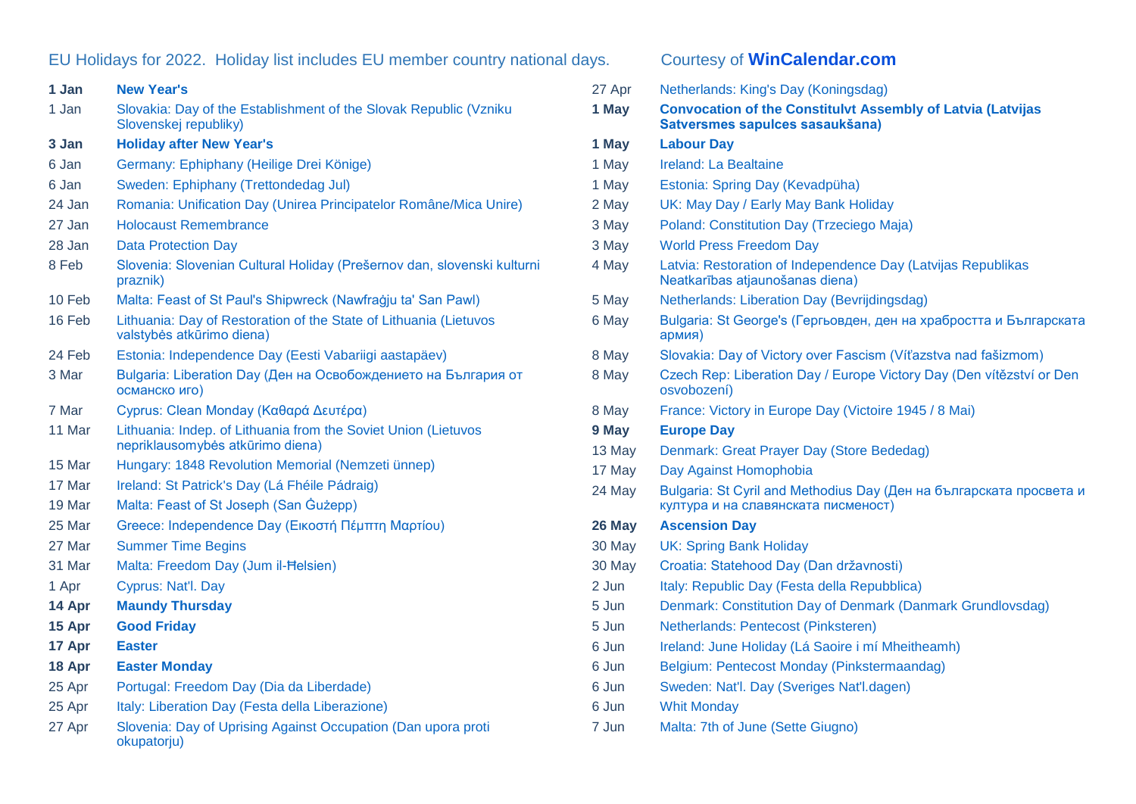## EU Holidays for 2022. Holiday list includes EU member country national days. Courtesy of **[WinCalendar.com](https://www.wincalendar.com/EU-Calendar/2022)**

| 1 Jan  | <b>New Year's</b>                                                                                  |
|--------|----------------------------------------------------------------------------------------------------|
| 1 Jan  | Slovakia: Day of the Establishment of the Slovak Republic (Vzniku<br>Slovenskej republiky)         |
| 3 Jan  | <b>Holiday after New Year's</b>                                                                    |
| 6 Jan  | Germany: Ephiphany (Heilige Drei Könige)                                                           |
| 6 Jan  | Sweden: Ephiphany (Trettondedag Jul)                                                               |
| 24 Jan | Romania: Unification Day (Unirea Principatelor Române/Mica Unire)                                  |
| 27 Jan | <b>Holocaust Remembrance</b>                                                                       |
| 28 Jan | <b>Data Protection Day</b>                                                                         |
| 8 Feb  | Slovenia: Slovenian Cultural Holiday (Prešernov dan, slovenski kulturni<br>praznik)                |
| 10 Feb | Malta: Feast of St Paul's Shipwreck (Nawfraġju ta' San Pawl)                                       |
| 16 Feb | Lithuania: Day of Restoration of the State of Lithuania (Lietuvos<br>valstybės atkūrimo diena)     |
| 24 Feb | Estonia: Independence Day (Eesti Vabariigi aastapäev)                                              |
| 3 Mar  | Bulgaria: Liberation Day (Ден на Освобождението на България от<br>османско иго)                    |
| 7 Mar  | Cyprus: Clean Monday (Καθαρά Δευτέρα)                                                              |
| 11 Mar | Lithuania: Indep. of Lithuania from the Soviet Union (Lietuvos<br>nepriklausomybės atkūrimo diena) |
| 15 Mar | Hungary: 1848 Revolution Memorial (Nemzeti ünnep)                                                  |
| 17 Mar | Ireland: St Patrick's Day (Lá Fhéile Pádraig)                                                      |
| 19 Mar | Malta: Feast of St Joseph (San Gużepp)                                                             |
| 25 Mar | Greece: Independence Day (Εικοστή Πέμπτη Μαρτίου)                                                  |
| 27 Mar | <b>Summer Time Begins</b>                                                                          |
| 31 Mar | Malta: Freedom Day (Jum il-Helsien)                                                                |
| 1 Apr  | Cyprus: Nat'l. Day                                                                                 |
| 14 Apr | <b>Maundy Thursday</b>                                                                             |
| 15 Apr | <b>Good Friday</b>                                                                                 |
| 17 Apr | <b>Easter</b>                                                                                      |
| 18 Apr | <b>Easter Monday</b>                                                                               |
| 25 Apr | Portugal: Freedom Day (Dia da Liberdade)                                                           |
| 25 Apr | Italy: Liberation Day (Festa della Liberazione)                                                    |
| 27 Apr | Slovenia: Day of Uprising Against Occupation (Dan upora proti<br>okupatorju)                       |

| 27 Apr | Netherlands: King's Day (Koningsdag)                                                                       |
|--------|------------------------------------------------------------------------------------------------------------|
| 1 May  | <b>Convocation of the Constitulvt Assembly of Latvia (Latvijas</b><br>Satversmes sapulces sasaukšana)      |
| 1 May  | <b>Labour Day</b>                                                                                          |
| 1 May  | Ireland: La Bealtaine                                                                                      |
| 1 May  | Estonia: Spring Day (Kevadpüha)                                                                            |
| 2 May  | UK: May Day / Early May Bank Holiday                                                                       |
| 3 May  | Poland: Constitution Day (Trzeciego Maja)                                                                  |
| 3 May  | <b>World Press Freedom Day</b>                                                                             |
| 4 May  | Latvia: Restoration of Independence Day (Latvijas Republikas<br>Neatkarības atjaunošanas diena)            |
| 5 May  | Netherlands: Liberation Day (Bevrijdingsdag)                                                               |
| 6 May  | Bulgaria: St George's (Гергьовден, ден на храбростта и Българската<br>армия)                               |
| 8 May  | Slovakia: Day of Victory over Fascism (Víťazstva nad fašizmom)                                             |
| 8 May  | Czech Rep: Liberation Day / Europe Victory Day (Den vítězství or Den<br>osvobození)                        |
| 8 May  | France: Victory in Europe Day (Victoire 1945 / 8 Mai)                                                      |
| 9 May  | <b>Europe Day</b>                                                                                          |
| 13 May | Denmark: Great Prayer Day (Store Bededag)                                                                  |
| 17 May | Day Against Homophobia                                                                                     |
| 24 May | Bulgaria: St Cyril and Methodius Day (Ден на българската просвета и<br>култура и на славянската писменост) |
| 26 May | <b>Ascension Day</b>                                                                                       |
| 30 May | <b>UK: Spring Bank Holiday</b>                                                                             |
| 30 May | Croatia: Statehood Day (Dan državnosti)                                                                    |
| 2 Jun  | Italy: Republic Day (Festa della Repubblica)                                                               |
| 5 Jun  | Denmark: Constitution Day of Denmark (Danmark Grundlovsdag)                                                |
| 5 Jun  | Netherlands: Pentecost (Pinksteren)                                                                        |
| 6 Jun  | Ireland: June Holiday (Lá Saoire i mí Mheitheamh)                                                          |
| 6 Jun  | Belgium: Pentecost Monday (Pinkstermaandag)                                                                |
| 6 Jun  | Sweden: Nat'l. Day (Sveriges Nat'l.dagen)                                                                  |
| 6 Jun  | <b>Whit Monday</b>                                                                                         |
| 7 Jun  | Malta: 7th of June (Sette Giugno)                                                                          |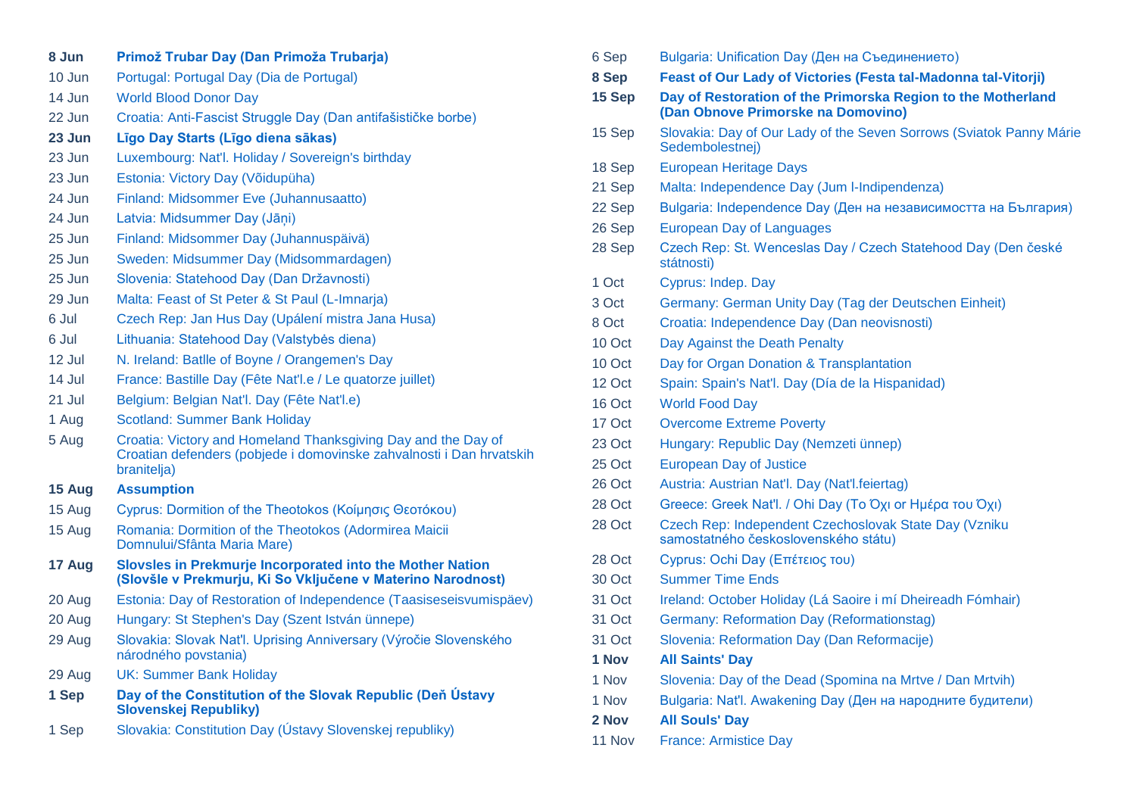| 8 Jun  | Primož Trubar Day (Dan Primoža Trubarja)                                                                                                             |
|--------|------------------------------------------------------------------------------------------------------------------------------------------------------|
| 10 Jun | Portugal: Portugal Day (Dia de Portugal)                                                                                                             |
| 14 Jun | <b>World Blood Donor Day</b>                                                                                                                         |
| 22 Jun | Croatia: Anti-Fascist Struggle Day (Dan antifašističke borbe)                                                                                        |
| 23 Jun | Līgo Day Starts (Līgo diena sākas)                                                                                                                   |
| 23 Jun | Luxembourg: Nat'l. Holiday / Sovereign's birthday                                                                                                    |
| 23 Jun | Estonia: Victory Day (Võidupüha)                                                                                                                     |
| 24 Jun | Finland: Midsommer Eve (Juhannusaatto)                                                                                                               |
| 24 Jun | Latvia: Midsummer Day (Jāṇi)                                                                                                                         |
| 25 Jun | Finland: Midsommer Day (Juhannuspäivä)                                                                                                               |
| 25 Jun | Sweden: Midsummer Day (Midsommardagen)                                                                                                               |
| 25 Jun | Slovenia: Statehood Day (Dan Državnosti)                                                                                                             |
| 29 Jun | Malta: Feast of St Peter & St Paul (L-Imnarja)                                                                                                       |
| 6 Jul  | Czech Rep: Jan Hus Day (Upálení mistra Jana Husa)                                                                                                    |
| 6 Jul  | Lithuania: Statehood Day (Valstybės diena)                                                                                                           |
| 12 Jul | N. Ireland: Batlle of Boyne / Orangemen's Day                                                                                                        |
| 14 Jul | France: Bastille Day (Fête Nat'l.e / Le quatorze juillet)                                                                                            |
| 21 Jul | Belgium: Belgian Nat'l. Day (Fête Nat'l.e)                                                                                                           |
| 1 Aug  | <b>Scotland: Summer Bank Holiday</b>                                                                                                                 |
| 5 Aug  | Croatia: Victory and Homeland Thanksgiving Day and the Day of<br>Croatian defenders (pobjede i domovinske zahvalnosti i Dan hrvatskih<br>branitelja) |
| 15 Aug | <b>Assumption</b>                                                                                                                                    |
| 15 Aug | Cyprus: Dormition of the Theotokos (Κοίμησις Θεοτόκου)                                                                                               |
| 15 Aug | Romania: Dormition of the Theotokos (Adormirea Maicii<br>Domnului/Sfânta Maria Mare)                                                                 |
| 17 Aug | Slovsles in Prekmurje Incorporated into the Mother Nation<br>(Slovšle v Prekmurju, Ki So Vključene v Materino Narodnost)                             |
| 20 Aug | Estonia: Day of Restoration of Independence (Taasiseseisvumispäev)                                                                                   |
| 20 Aug | Hungary: St Stephen's Day (Szent István ünnepe)                                                                                                      |
| 29 Aug | Slovakia: Slovak Nat'l. Uprising Anniversary (Výročie Slovenského<br>národného povstania)                                                            |
| 29 Aug | <b>UK: Summer Bank Holiday</b>                                                                                                                       |
| 1 Sep  | Day of the Constitution of the Slovak Republic (Deň Ústavy<br><b>Slovenskej Republiky)</b>                                                           |
| 1 Sep  | Slovakia: Constitution Day (Ústavy Slovenskej republiky)                                                                                             |

| 6 Sep  | Bulgaria: Unification Day (Ден на Съединението)                                                    |
|--------|----------------------------------------------------------------------------------------------------|
| 8 Sep  | Feast of Our Lady of Victories (Festa tal-Madonna tal-Vitorji)                                     |
| 15 Sep | Day of Restoration of the Primorska Region to the Motherland<br>(Dan Obnove Primorske na Domovino) |
| 15 Sep | Slovakia: Day of Our Lady of the Seven Sorrows (Sviatok Panny Márie<br>Sedembolestnej)             |
| 18 Sep | <b>European Heritage Days</b>                                                                      |
| 21 Sep | Malta: Independence Day (Jum I-Indipendenza)                                                       |
| 22 Sep | Bulgaria: Independence Day (Ден на независимостта на България)                                     |
| 26 Sep | <b>European Day of Languages</b>                                                                   |
| 28 Sep | Czech Rep: St. Wenceslas Day / Czech Statehood Day (Den české<br>státnosti)                        |
| 1 Oct  | Cyprus: Indep. Day                                                                                 |
| 3 Oct  | Germany: German Unity Day (Tag der Deutschen Einheit)                                              |
| 8 Oct  | Croatia: Independence Day (Dan neovisnosti)                                                        |
| 10 Oct | Day Against the Death Penalty                                                                      |
| 10 Oct | Day for Organ Donation & Transplantation                                                           |
| 12 Oct | Spain: Spain's Nat'l. Day (Día de la Hispanidad)                                                   |
| 16 Oct | <b>World Food Day</b>                                                                              |
| 17 Oct | <b>Overcome Extreme Poverty</b>                                                                    |
| 23 Oct | Hungary: Republic Day (Nemzeti ünnep)                                                              |
| 25 Oct | <b>European Day of Justice</b>                                                                     |
| 26 Oct | Austria: Austrian Nat'l. Day (Nat'l.feiertag)                                                      |
| 28 Oct | Greece: Greek Nat'l. / Ohi Day (Το Όχι οι Ημέρα του Όχι)                                           |
| 28 Oct | Czech Rep: Independent Czechoslovak State Day (Vzniku<br>samostatného československého státu)      |
| 28 Oct | Cyprus: Ochi Day (Επέτειος του)                                                                    |
| 30 Oct | <b>Summer Time Ends</b>                                                                            |
| 31 Oct | Ireland: October Holiday (Lá Saoire i mí Dheireadh Fómhair)                                        |
| 31 Oct | <b>Germany: Reformation Day (Reformationstag)</b>                                                  |
| 31 Oct | Slovenia: Reformation Day (Dan Reformacije)                                                        |
| 1 Nov  | <b>All Saints' Day</b>                                                                             |
| 1 Nov  | Slovenia: Day of the Dead (Spomina na Mrtve / Dan Mrtvih)                                          |
| 1 Nov  | Bulgaria: Nat'l. Awakening Day (Ден на народните будители)                                         |
| 2 Nov  | <b>All Souls' Day</b>                                                                              |
| 11 Nov | <b>France: Armistice Day</b>                                                                       |